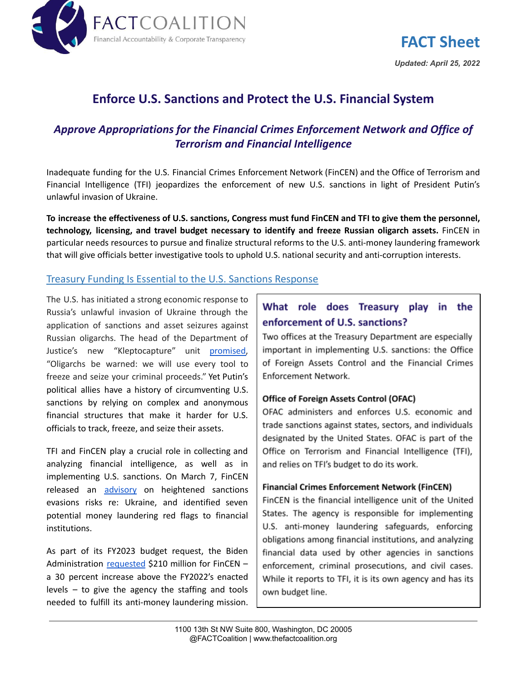

**FACT Sheet** *Updated: April 25, 2022*

# **Enforce U.S. Sanctions and Protect the U.S. Financial System**

# *Approve Appropriations for the Financial Crimes Enforcement Network and Office of Terrorism and Financial Intelligence*

Inadequate funding for the U.S. Financial Crimes Enforcement Network (FinCEN) and the Office of Terrorism and Financial Intelligence (TFI) jeopardizes the enforcement of new U.S. sanctions in light of President Putin's unlawful invasion of Ukraine.

To increase the effectiveness of U.S. sanctions, Congress must fund FinCEN and TFI to give them the personnel, **technology, licensing, and travel budget necessary to identify and freeze Russian oligarch assets.** FinCEN in particular needs resources to pursue and finalize structural reforms to the U.S. anti-money laundering framework that will give officials better investigative tools to uphold U.S. national security and anti-corruption interests.

### Treasury Funding Is Essential to the U.S. Sanctions Response

The U.S. has initiated a strong economic response to Russia's unlawful invasion of Ukraine through the application of sanctions and asset seizures against Russian oligarchs. The head of the Department of Justice's new "Kleptocapture" unit [promised,](https://www.justice.gov/opa/pr/attorney-general-merrick-b-garland-announces-launch-task-force-kleptocapture#:~:text=%E2%80%9CTo%20those%20bolstering%20the%20Russian,and%20seize%20your%20criminal%20proceeds.%E2%80%9D) "Oligarchs be warned: we will use every tool to freeze and seize your criminal proceeds." Yet Putin's political allies have a history of circumventing U.S. sanctions by relying on complex and anonymous financial structures that make it harder for U.S. officials to track, freeze, and seize their assets.

TFI and FinCEN play a crucial role in collecting and analyzing financial intelligence, as well as in implementing U.S. sanctions. On March 7, FinCEN released an [advisory](https://www.fincen.gov/sites/default/files/2022-03/FinCEN%20Alert%20Russian%20Sanctions%20Evasion%20FINAL%20508.pdf) on heightened sanctions evasions risks re: Ukraine, and identified seven potential money laundering red flags to financial institutions.

As part of its FY2023 budget request, the Biden Administration [requested](https://www.whitehouse.gov/wp-content/uploads/2022/03/budget_fy2023.pdf) \$210 million for FinCEN – a 30 percent increase above the FY2022's enacted levels – to give the agency the staffing and tools needed to fulfill its anti-money laundering mission.

# What role does Treasury play in the enforcement of U.S. sanctions?

Two offices at the Treasury Department are especially important in implementing U.S. sanctions: the Office of Foreign Assets Control and the Financial Crimes Enforcement Network.

#### **Office of Foreign Assets Control (OFAC)**

OFAC administers and enforces U.S. economic and trade sanctions against states, sectors, and individuals designated by the United States. OFAC is part of the Office on Terrorism and Financial Intelligence (TFI), and relies on TFI's budget to do its work.

#### **Financial Crimes Enforcement Network (FinCEN)**

FinCEN is the financial intelligence unit of the United States. The agency is responsible for implementing U.S. anti-money laundering safeguards, enforcing obligations among financial institutions, and analyzing financial data used by other agencies in sanctions enforcement, criminal prosecutions, and civil cases. While it reports to TFI, it is its own agency and has its own budget line.